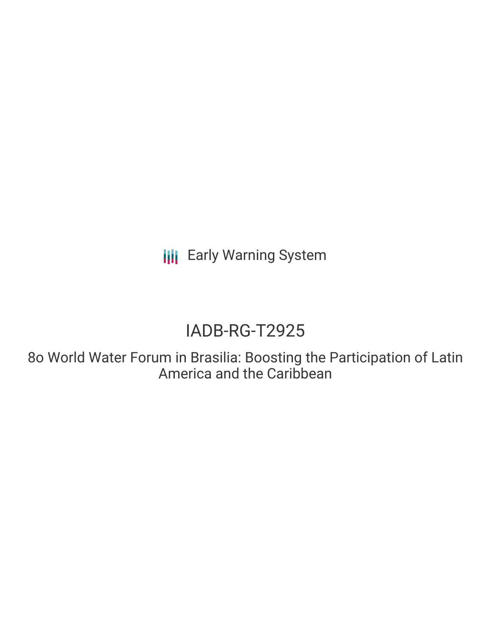**III** Early Warning System

# IADB-RG-T2925

8o World Water Forum in Brasilia: Boosting the Participation of Latin America and the Caribbean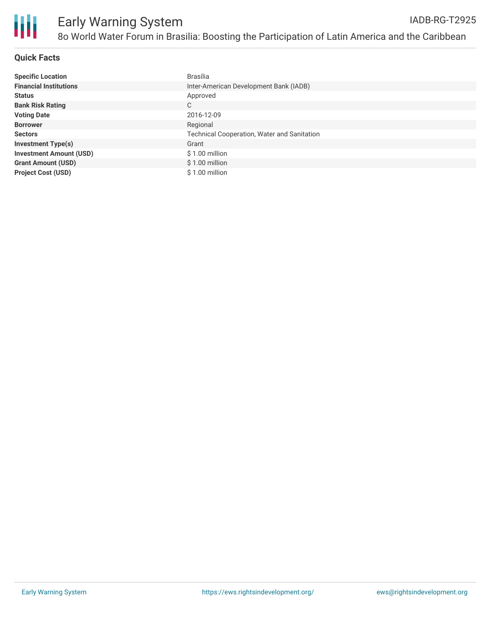

## **Quick Facts**

| <b>Specific Location</b>       | Brasília                                           |
|--------------------------------|----------------------------------------------------|
| <b>Financial Institutions</b>  | Inter-American Development Bank (IADB)             |
| <b>Status</b>                  | Approved                                           |
| <b>Bank Risk Rating</b>        | С                                                  |
| <b>Voting Date</b>             | 2016-12-09                                         |
| <b>Borrower</b>                | Regional                                           |
| <b>Sectors</b>                 | <b>Technical Cooperation, Water and Sanitation</b> |
| <b>Investment Type(s)</b>      | Grant                                              |
| <b>Investment Amount (USD)</b> | $$1.00$ million                                    |
| <b>Grant Amount (USD)</b>      | $$1.00$ million                                    |
| <b>Project Cost (USD)</b>      | \$1.00 million                                     |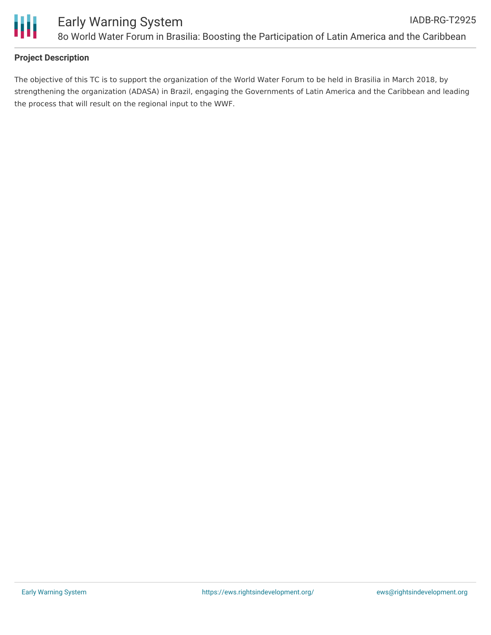

# **Project Description**

The objective of this TC is to support the organization of the World Water Forum to be held in Brasilia in March 2018, by strengthening the organization (ADASA) in Brazil, engaging the Governments of Latin America and the Caribbean and leading the process that will result on the regional input to the WWF.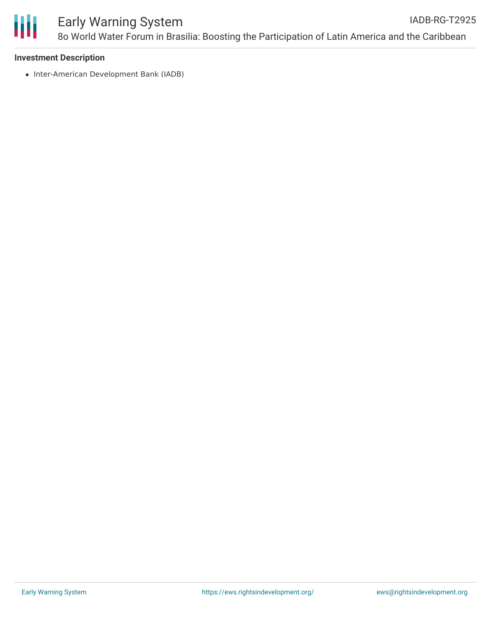

### Early Warning System 8o World Water Forum in Brasilia: Boosting the Participation of Latin America and the Caribbean IADB-RG-T2925

## **Investment Description**

• Inter-American Development Bank (IADB)